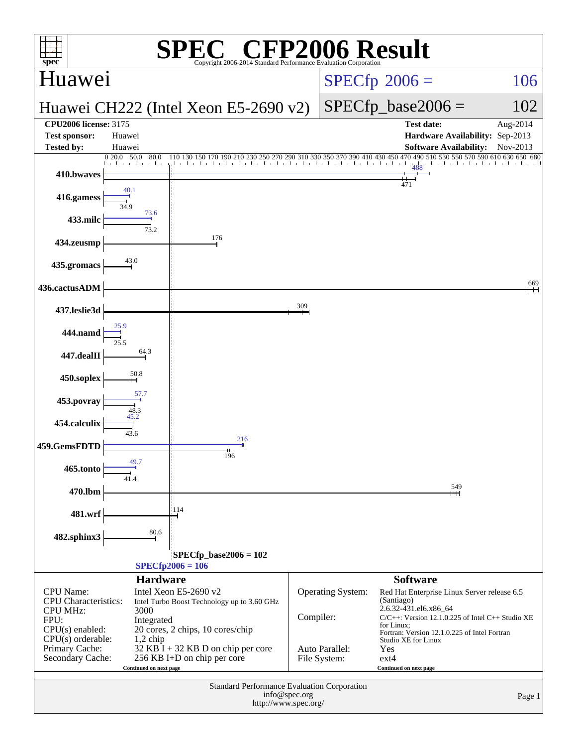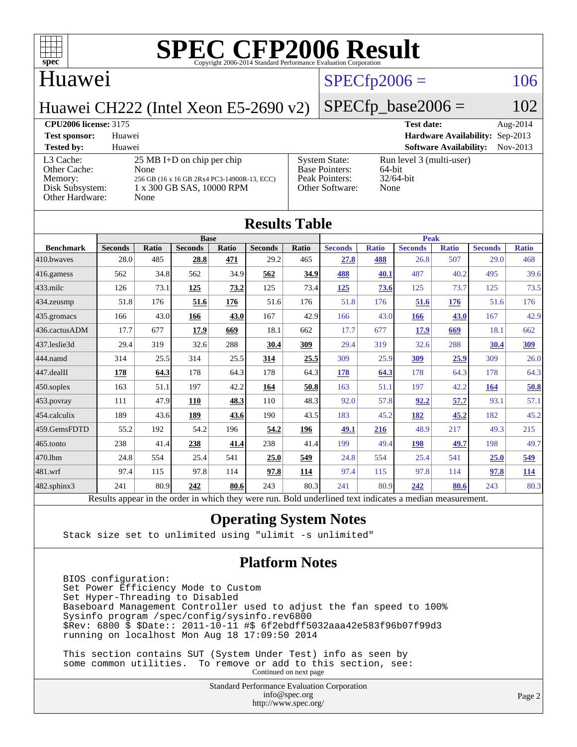

#### Huawei

### $SPECfp2006 = 106$  $SPECfp2006 = 106$

Huawei CH222 (Intel Xeon E5-2690 v2)

## $SPECfp\_base2006 = 102$

| <b>CPU2006 license: 3175</b>                                               |                                                                                                                                  |                                                                                    | <b>Test date:</b>                                          | Aug- $2014$ |
|----------------------------------------------------------------------------|----------------------------------------------------------------------------------------------------------------------------------|------------------------------------------------------------------------------------|------------------------------------------------------------|-------------|
| <b>Test sponsor:</b>                                                       | Huawei                                                                                                                           |                                                                                    | Hardware Availability: Sep-2013                            |             |
| <b>Tested by:</b>                                                          | Huawei                                                                                                                           |                                                                                    | <b>Software Availability:</b>                              | $Nov-2013$  |
| L3 Cache:<br>Other Cache:<br>Memory:<br>Disk Subsystem:<br>Other Hardware: | $25 \text{ MB I+D}$ on chip per chip<br>None<br>256 GB (16 x 16 GB 2Rx4 PC3-14900R-13, ECC)<br>1 x 300 GB SAS, 10000 RPM<br>None | <b>System State:</b><br><b>Base Pointers:</b><br>Peak Pointers:<br>Other Software: | Run level 3 (multi-user)<br>64-bit<br>$32/64$ -bit<br>None |             |

| <b>Results Table</b> |                                                                                                          |              |                |       |                |              |                |              |                |              |                |              |
|----------------------|----------------------------------------------------------------------------------------------------------|--------------|----------------|-------|----------------|--------------|----------------|--------------|----------------|--------------|----------------|--------------|
|                      | <b>Base</b>                                                                                              |              |                |       | <b>Peak</b>    |              |                |              |                |              |                |              |
| <b>Benchmark</b>     | <b>Seconds</b>                                                                                           | <b>Ratio</b> | <b>Seconds</b> | Ratio | <b>Seconds</b> | <b>Ratio</b> | <b>Seconds</b> | <b>Ratio</b> | <b>Seconds</b> | <b>Ratio</b> | <b>Seconds</b> | <b>Ratio</b> |
| 410.bwayes           | 28.0                                                                                                     | 485          | 28.8           | 471   | 29.2           | 465          | 27.8           | 488          | 26.8           | 507          | 29.0           | 468          |
| 416.gamess           | 562                                                                                                      | 34.8         | 562            | 34.9  | 562            | 34.9         | 488            | 40.1         | 487            | 40.2         | 495            | 39.6         |
| 433.milc             | 126                                                                                                      | 73.1         | 125            | 73.2  | 125            | 73.4         | 125            | 73.6         | 125            | 73.7         | 125            | 73.5         |
| 434.zeusmp           | 51.8                                                                                                     | 176          | 51.6           | 176   | 51.6           | 176          | 51.8           | 176          | 51.6           | 176          | 51.6           | 176          |
| 435.gromacs          | 166                                                                                                      | 43.0         | 166            | 43.0  | 167            | 42.9         | 166            | 43.0         | 166            | 43.0         | 167            | 42.9         |
| 436.cactusADM        | 17.7                                                                                                     | 677          | 17.9           | 669   | 18.1           | 662          | 17.7           | 677          | 17.9           | 669          | 18.1           | 662          |
| 437.leslie3d         | 29.4                                                                                                     | 319          | 32.6           | 288   | 30.4           | 309          | 29.4           | 319          | 32.6           | 288          | 30.4           | <u>309</u>   |
| 444.namd             | 314                                                                                                      | 25.5         | 314            | 25.5  | 314            | 25.5         | 309            | 25.9         | 309            | 25.9         | 309            | 26.0         |
| $447$ .dealII        | 178                                                                                                      | 64.3         | 178            | 64.3  | 178            | 64.3         | 178            | 64.3         | 178            | 64.3         | 178            | 64.3         |
| $450$ .soplex        | 163                                                                                                      | 51.1         | 197            | 42.2  | 164            | 50.8         | 163            | 51.1         | 197            | 42.2         | 164            | 50.8         |
| $453$ .povray        | 111                                                                                                      | 47.9         | 110            | 48.3  | 110            | 48.3         | 92.0           | 57.8         | 92.2           | 57.7         | 93.1           | 57.1         |
| 454.calculix         | 189                                                                                                      | 43.6         | 189            | 43.6  | 190            | 43.5         | 183            | 45.2         | 182            | 45.2         | 182            | 45.2         |
| 459.GemsFDTD         | 55.2                                                                                                     | 192          | 54.2           | 196   | 54.2           | 196          | 49.1           | 216          | 48.9           | 217          | 49.3           | 215          |
| 465.tonto            | 238                                                                                                      | 41.4         | 238            | 41.4  | 238            | 41.4         | 199            | 49.4         | 198            | 49.7         | 198            | 49.7         |
| 470.1bm              | 24.8                                                                                                     | 554          | 25.4           | 541   | 25.0           | 549          | 24.8           | 554          | 25.4           | 541          | 25.0           | 549          |
| 481.wrf              | 97.4                                                                                                     | 115          | 97.8           | 114   | 97.8           | 114          | 97.4           | 115          | 97.8           | 114          | 97.8           | <u>114</u>   |
| $482$ .sphinx $3$    | 241                                                                                                      | 80.9         | 242            | 80.6  | 243            | 80.3         | 241            | 80.9         | 242            | 80.6         | 243            | 80.3         |
|                      | Results appear in the order in which they were run. Bold underlined text indicates a median measurement. |              |                |       |                |              |                |              |                |              |                |              |

#### **[Operating System Notes](http://www.spec.org/auto/cpu2006/Docs/result-fields.html#OperatingSystemNotes)**

Stack size set to unlimited using "ulimit -s unlimited"

#### **[Platform Notes](http://www.spec.org/auto/cpu2006/Docs/result-fields.html#PlatformNotes)**

 BIOS configuration: Set Power Efficiency Mode to Custom Set Hyper-Threading to Disabled Baseboard Management Controller used to adjust the fan speed to 100% Sysinfo program /spec/config/sysinfo.rev6800 \$Rev: 6800 \$ \$Date:: 2011-10-11 #\$ 6f2ebdff5032aaa42e583f96b07f99d3 running on localhost Mon Aug 18 17:09:50 2014

 This section contains SUT (System Under Test) info as seen by some common utilities. To remove or add to this section, see: Continued on next page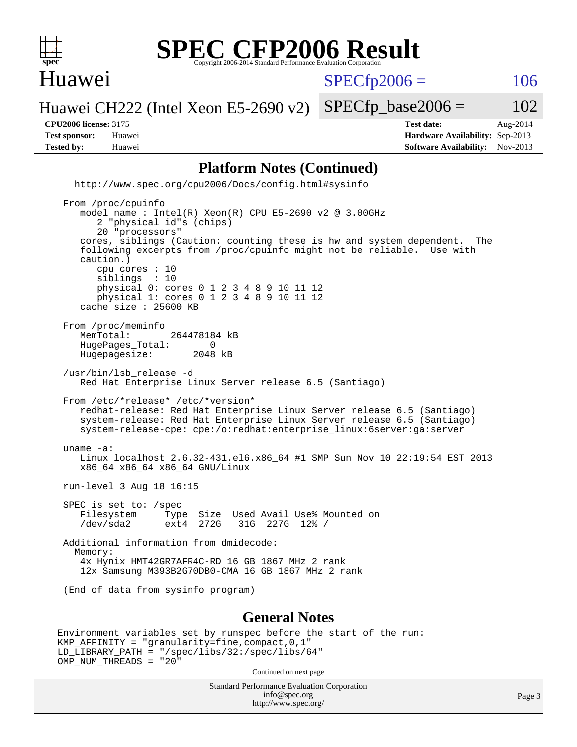

#### Huawei

 $SPECTp2006 = 106$ 

Huawei CH222 (Intel Xeon E5-2690 v2)

**[Tested by:](http://www.spec.org/auto/cpu2006/Docs/result-fields.html#Testedby)** Huawei **[Software Availability:](http://www.spec.org/auto/cpu2006/Docs/result-fields.html#SoftwareAvailability)** Nov-2013

**[CPU2006 license:](http://www.spec.org/auto/cpu2006/Docs/result-fields.html#CPU2006license)** 3175 **[Test date:](http://www.spec.org/auto/cpu2006/Docs/result-fields.html#Testdate)** Aug-2014 **[Test sponsor:](http://www.spec.org/auto/cpu2006/Docs/result-fields.html#Testsponsor)** Huawei **[Hardware Availability:](http://www.spec.org/auto/cpu2006/Docs/result-fields.html#HardwareAvailability)** Sep-2013

 $SPECTp\_base2006 = 102$ 

#### **[Platform Notes \(Continued\)](http://www.spec.org/auto/cpu2006/Docs/result-fields.html#PlatformNotes)**

 <http://www.spec.org/cpu2006/Docs/config.html#sysinfo> From /proc/cpuinfo model name : Intel(R) Xeon(R) CPU E5-2690 v2 @ 3.00GHz 2 "physical id"s (chips) 20 "processors" cores, siblings (Caution: counting these is hw and system dependent. The following excerpts from /proc/cpuinfo might not be reliable. Use with caution.) cpu cores : 10 siblings : 10

 physical 0: cores 0 1 2 3 4 8 9 10 11 12 physical 1: cores 0 1 2 3 4 8 9 10 11 12 cache size : 25600 KB

From /proc/meminfo<br>MemTotal: 264478184 kB HugePages\_Total: 0<br>Hugepagesize: 2048 kB Hugepagesize:

 /usr/bin/lsb\_release -d Red Hat Enterprise Linux Server release 6.5 (Santiago)

 From /etc/\*release\* /etc/\*version\* redhat-release: Red Hat Enterprise Linux Server release 6.5 (Santiago) system-release: Red Hat Enterprise Linux Server release 6.5 (Santiago) system-release-cpe: cpe:/o:redhat:enterprise\_linux:6server:ga:server

 uname -a: Linux localhost 2.6.32-431.el6.x86\_64 #1 SMP Sun Nov 10 22:19:54 EST 2013 x86\_64 x86\_64 x86\_64 GNU/Linux

run-level 3 Aug 18 16:15

 SPEC is set to: /spec Filesystem Type Size Used Avail Use% Mounted on /dev/sda2 ext4 272G 31G 227G 12% /

 Additional information from dmidecode: Memory: 4x Hynix HMT42GR7AFR4C-RD 16 GB 1867 MHz 2 rank 12x Samsung M393B2G70DB0-CMA 16 GB 1867 MHz 2 rank

(End of data from sysinfo program)

#### **[General Notes](http://www.spec.org/auto/cpu2006/Docs/result-fields.html#GeneralNotes)**

```
Environment variables set by runspec before the start of the run:
KMP_AFFINITY = "granularity=fine,compact,0,1"
LD_LIBRARY_PATH = "/spec/libs/32:/spec/libs/64"
OMP_NUM_THREADS = "20"
```
Continued on next page

Standard Performance Evaluation Corporation [info@spec.org](mailto:info@spec.org) <http://www.spec.org/>

Page 3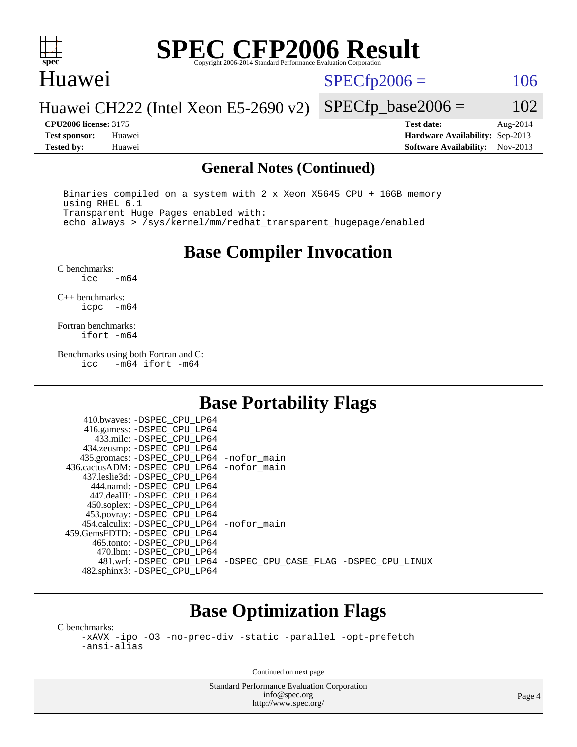

#### Huawei

 $SPECTp2006 = 106$ 

Huawei CH222 (Intel Xeon E5-2690 v2)

**[CPU2006 license:](http://www.spec.org/auto/cpu2006/Docs/result-fields.html#CPU2006license)** 3175 **[Test date:](http://www.spec.org/auto/cpu2006/Docs/result-fields.html#Testdate)** Aug-2014 **[Test sponsor:](http://www.spec.org/auto/cpu2006/Docs/result-fields.html#Testsponsor)** Huawei **[Hardware Availability:](http://www.spec.org/auto/cpu2006/Docs/result-fields.html#HardwareAvailability)** Sep-2013 **[Tested by:](http://www.spec.org/auto/cpu2006/Docs/result-fields.html#Testedby)** Huawei **[Software Availability:](http://www.spec.org/auto/cpu2006/Docs/result-fields.html#SoftwareAvailability)** Nov-2013

 $SPECTp\_base2006 = 102$ 

#### **[General Notes \(Continued\)](http://www.spec.org/auto/cpu2006/Docs/result-fields.html#GeneralNotes)**

 Binaries compiled on a system with 2 x Xeon X5645 CPU + 16GB memory using RHEL 6.1 Transparent Huge Pages enabled with: echo always > /sys/kernel/mm/redhat\_transparent\_hugepage/enabled

**[Base Compiler Invocation](http://www.spec.org/auto/cpu2006/Docs/result-fields.html#BaseCompilerInvocation)**

[C benchmarks](http://www.spec.org/auto/cpu2006/Docs/result-fields.html#Cbenchmarks):  $-m64$ 

[C++ benchmarks:](http://www.spec.org/auto/cpu2006/Docs/result-fields.html#CXXbenchmarks) [icpc -m64](http://www.spec.org/cpu2006/results/res2014q3/cpu2006-20140822-30985.flags.html#user_CXXbase_intel_icpc_64bit_bedb90c1146cab66620883ef4f41a67e)

[Fortran benchmarks](http://www.spec.org/auto/cpu2006/Docs/result-fields.html#Fortranbenchmarks): [ifort -m64](http://www.spec.org/cpu2006/results/res2014q3/cpu2006-20140822-30985.flags.html#user_FCbase_intel_ifort_64bit_ee9d0fb25645d0210d97eb0527dcc06e)

[Benchmarks using both Fortran and C](http://www.spec.org/auto/cpu2006/Docs/result-fields.html#BenchmarksusingbothFortranandC): [icc -m64](http://www.spec.org/cpu2006/results/res2014q3/cpu2006-20140822-30985.flags.html#user_CC_FCbase_intel_icc_64bit_0b7121f5ab7cfabee23d88897260401c) [ifort -m64](http://www.spec.org/cpu2006/results/res2014q3/cpu2006-20140822-30985.flags.html#user_CC_FCbase_intel_ifort_64bit_ee9d0fb25645d0210d97eb0527dcc06e)

### **[Base Portability Flags](http://www.spec.org/auto/cpu2006/Docs/result-fields.html#BasePortabilityFlags)**

| 410.bwaves: -DSPEC CPU LP64                  |                                                                |
|----------------------------------------------|----------------------------------------------------------------|
| 416.gamess: -DSPEC_CPU_LP64                  |                                                                |
| 433.milc: -DSPEC CPU LP64                    |                                                                |
| 434.zeusmp: - DSPEC_CPU_LP64                 |                                                                |
| 435.gromacs: -DSPEC_CPU_LP64 -nofor_main     |                                                                |
| 436.cactusADM: - DSPEC CPU LP64 - nofor main |                                                                |
| 437.leslie3d: -DSPEC CPU LP64                |                                                                |
| 444.namd: -DSPEC CPU LP64                    |                                                                |
| 447.dealII: -DSPEC_CPU LP64                  |                                                                |
| 450.soplex: -DSPEC_CPU_LP64                  |                                                                |
| 453.povray: -DSPEC_CPU_LP64                  |                                                                |
| 454.calculix: - DSPEC CPU LP64 - nofor main  |                                                                |
| 459.GemsFDTD: - DSPEC_CPU LP64               |                                                                |
| 465.tonto: - DSPEC CPU LP64                  |                                                                |
| 470.1bm: - DSPEC_CPU LP64                    |                                                                |
|                                              | 481.wrf: -DSPEC CPU_LP64 -DSPEC_CPU_CASE_FLAG -DSPEC_CPU_LINUX |
| 482.sphinx3: -DSPEC_CPU_LP64                 |                                                                |
|                                              |                                                                |

### **[Base Optimization Flags](http://www.spec.org/auto/cpu2006/Docs/result-fields.html#BaseOptimizationFlags)**

[C benchmarks](http://www.spec.org/auto/cpu2006/Docs/result-fields.html#Cbenchmarks):

[-xAVX](http://www.spec.org/cpu2006/results/res2014q3/cpu2006-20140822-30985.flags.html#user_CCbase_f-xAVX) [-ipo](http://www.spec.org/cpu2006/results/res2014q3/cpu2006-20140822-30985.flags.html#user_CCbase_f-ipo) [-O3](http://www.spec.org/cpu2006/results/res2014q3/cpu2006-20140822-30985.flags.html#user_CCbase_f-O3) [-no-prec-div](http://www.spec.org/cpu2006/results/res2014q3/cpu2006-20140822-30985.flags.html#user_CCbase_f-no-prec-div) [-static](http://www.spec.org/cpu2006/results/res2014q3/cpu2006-20140822-30985.flags.html#user_CCbase_f-static) [-parallel](http://www.spec.org/cpu2006/results/res2014q3/cpu2006-20140822-30985.flags.html#user_CCbase_f-parallel) [-opt-prefetch](http://www.spec.org/cpu2006/results/res2014q3/cpu2006-20140822-30985.flags.html#user_CCbase_f-opt-prefetch) [-ansi-alias](http://www.spec.org/cpu2006/results/res2014q3/cpu2006-20140822-30985.flags.html#user_CCbase_f-ansi-alias)

Continued on next page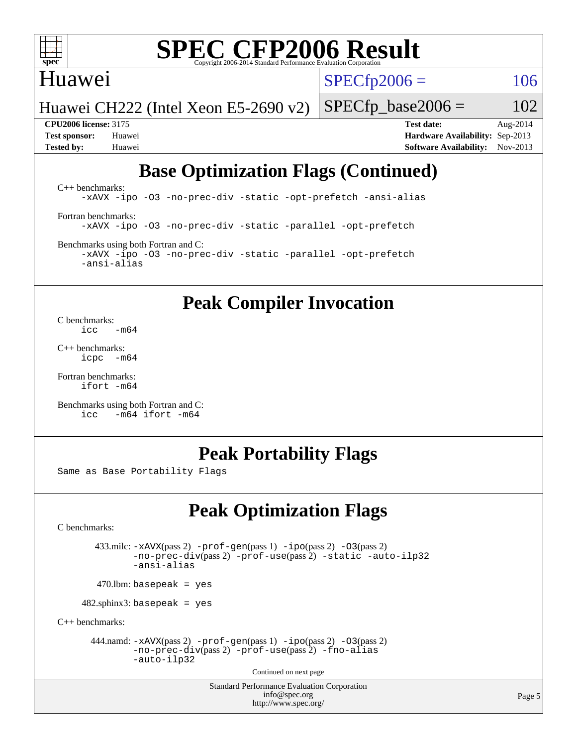

### Huawei

 $SPECTp2006 = 106$ 

Huawei CH222 (Intel Xeon E5-2690 v2)

 $SPECfp\_base2006 = 102$ 

**[CPU2006 license:](http://www.spec.org/auto/cpu2006/Docs/result-fields.html#CPU2006license)** 3175 **[Test date:](http://www.spec.org/auto/cpu2006/Docs/result-fields.html#Testdate)** Aug-2014 **[Test sponsor:](http://www.spec.org/auto/cpu2006/Docs/result-fields.html#Testsponsor)** Huawei **[Hardware Availability:](http://www.spec.org/auto/cpu2006/Docs/result-fields.html#HardwareAvailability)** Sep-2013 **[Tested by:](http://www.spec.org/auto/cpu2006/Docs/result-fields.html#Testedby)** Huawei **[Software Availability:](http://www.spec.org/auto/cpu2006/Docs/result-fields.html#SoftwareAvailability)** Nov-2013

## **[Base Optimization Flags \(Continued\)](http://www.spec.org/auto/cpu2006/Docs/result-fields.html#BaseOptimizationFlags)**

[C++ benchmarks:](http://www.spec.org/auto/cpu2006/Docs/result-fields.html#CXXbenchmarks) [-xAVX](http://www.spec.org/cpu2006/results/res2014q3/cpu2006-20140822-30985.flags.html#user_CXXbase_f-xAVX) [-ipo](http://www.spec.org/cpu2006/results/res2014q3/cpu2006-20140822-30985.flags.html#user_CXXbase_f-ipo) [-O3](http://www.spec.org/cpu2006/results/res2014q3/cpu2006-20140822-30985.flags.html#user_CXXbase_f-O3) [-no-prec-div](http://www.spec.org/cpu2006/results/res2014q3/cpu2006-20140822-30985.flags.html#user_CXXbase_f-no-prec-div) [-static](http://www.spec.org/cpu2006/results/res2014q3/cpu2006-20140822-30985.flags.html#user_CXXbase_f-static) [-opt-prefetch](http://www.spec.org/cpu2006/results/res2014q3/cpu2006-20140822-30985.flags.html#user_CXXbase_f-opt-prefetch) [-ansi-alias](http://www.spec.org/cpu2006/results/res2014q3/cpu2006-20140822-30985.flags.html#user_CXXbase_f-ansi-alias) [Fortran benchmarks](http://www.spec.org/auto/cpu2006/Docs/result-fields.html#Fortranbenchmarks): [-xAVX](http://www.spec.org/cpu2006/results/res2014q3/cpu2006-20140822-30985.flags.html#user_FCbase_f-xAVX) [-ipo](http://www.spec.org/cpu2006/results/res2014q3/cpu2006-20140822-30985.flags.html#user_FCbase_f-ipo) [-O3](http://www.spec.org/cpu2006/results/res2014q3/cpu2006-20140822-30985.flags.html#user_FCbase_f-O3) [-no-prec-div](http://www.spec.org/cpu2006/results/res2014q3/cpu2006-20140822-30985.flags.html#user_FCbase_f-no-prec-div) [-static](http://www.spec.org/cpu2006/results/res2014q3/cpu2006-20140822-30985.flags.html#user_FCbase_f-static) [-parallel](http://www.spec.org/cpu2006/results/res2014q3/cpu2006-20140822-30985.flags.html#user_FCbase_f-parallel) [-opt-prefetch](http://www.spec.org/cpu2006/results/res2014q3/cpu2006-20140822-30985.flags.html#user_FCbase_f-opt-prefetch) [Benchmarks using both Fortran and C](http://www.spec.org/auto/cpu2006/Docs/result-fields.html#BenchmarksusingbothFortranandC):

[-xAVX](http://www.spec.org/cpu2006/results/res2014q3/cpu2006-20140822-30985.flags.html#user_CC_FCbase_f-xAVX) [-ipo](http://www.spec.org/cpu2006/results/res2014q3/cpu2006-20140822-30985.flags.html#user_CC_FCbase_f-ipo) [-O3](http://www.spec.org/cpu2006/results/res2014q3/cpu2006-20140822-30985.flags.html#user_CC_FCbase_f-O3) [-no-prec-div](http://www.spec.org/cpu2006/results/res2014q3/cpu2006-20140822-30985.flags.html#user_CC_FCbase_f-no-prec-div) [-static](http://www.spec.org/cpu2006/results/res2014q3/cpu2006-20140822-30985.flags.html#user_CC_FCbase_f-static) [-parallel](http://www.spec.org/cpu2006/results/res2014q3/cpu2006-20140822-30985.flags.html#user_CC_FCbase_f-parallel) [-opt-prefetch](http://www.spec.org/cpu2006/results/res2014q3/cpu2006-20140822-30985.flags.html#user_CC_FCbase_f-opt-prefetch) [-ansi-alias](http://www.spec.org/cpu2006/results/res2014q3/cpu2006-20140822-30985.flags.html#user_CC_FCbase_f-ansi-alias)

### **[Peak Compiler Invocation](http://www.spec.org/auto/cpu2006/Docs/result-fields.html#PeakCompilerInvocation)**

[C benchmarks](http://www.spec.org/auto/cpu2006/Docs/result-fields.html#Cbenchmarks):  $\frac{1}{2}$ cc  $-\text{m64}$ 

[C++ benchmarks:](http://www.spec.org/auto/cpu2006/Docs/result-fields.html#CXXbenchmarks) [icpc -m64](http://www.spec.org/cpu2006/results/res2014q3/cpu2006-20140822-30985.flags.html#user_CXXpeak_intel_icpc_64bit_bedb90c1146cab66620883ef4f41a67e)

[Fortran benchmarks](http://www.spec.org/auto/cpu2006/Docs/result-fields.html#Fortranbenchmarks): [ifort -m64](http://www.spec.org/cpu2006/results/res2014q3/cpu2006-20140822-30985.flags.html#user_FCpeak_intel_ifort_64bit_ee9d0fb25645d0210d97eb0527dcc06e)

[Benchmarks using both Fortran and C](http://www.spec.org/auto/cpu2006/Docs/result-fields.html#BenchmarksusingbothFortranandC): [icc -m64](http://www.spec.org/cpu2006/results/res2014q3/cpu2006-20140822-30985.flags.html#user_CC_FCpeak_intel_icc_64bit_0b7121f5ab7cfabee23d88897260401c) [ifort -m64](http://www.spec.org/cpu2006/results/res2014q3/cpu2006-20140822-30985.flags.html#user_CC_FCpeak_intel_ifort_64bit_ee9d0fb25645d0210d97eb0527dcc06e)

## **[Peak Portability Flags](http://www.spec.org/auto/cpu2006/Docs/result-fields.html#PeakPortabilityFlags)**

Same as Base Portability Flags

## **[Peak Optimization Flags](http://www.spec.org/auto/cpu2006/Docs/result-fields.html#PeakOptimizationFlags)**

[C benchmarks](http://www.spec.org/auto/cpu2006/Docs/result-fields.html#Cbenchmarks):

 433.milc: [-xAVX](http://www.spec.org/cpu2006/results/res2014q3/cpu2006-20140822-30985.flags.html#user_peakPASS2_CFLAGSPASS2_LDFLAGS433_milc_f-xAVX)(pass 2) [-prof-gen](http://www.spec.org/cpu2006/results/res2014q3/cpu2006-20140822-30985.flags.html#user_peakPASS1_CFLAGSPASS1_LDFLAGS433_milc_prof_gen_e43856698f6ca7b7e442dfd80e94a8fc)(pass 1) [-ipo](http://www.spec.org/cpu2006/results/res2014q3/cpu2006-20140822-30985.flags.html#user_peakPASS2_CFLAGSPASS2_LDFLAGS433_milc_f-ipo)(pass 2) [-O3](http://www.spec.org/cpu2006/results/res2014q3/cpu2006-20140822-30985.flags.html#user_peakPASS2_CFLAGSPASS2_LDFLAGS433_milc_f-O3)(pass 2) [-no-prec-div](http://www.spec.org/cpu2006/results/res2014q3/cpu2006-20140822-30985.flags.html#user_peakPASS2_CFLAGSPASS2_LDFLAGS433_milc_f-no-prec-div)(pass 2) [-prof-use](http://www.spec.org/cpu2006/results/res2014q3/cpu2006-20140822-30985.flags.html#user_peakPASS2_CFLAGSPASS2_LDFLAGS433_milc_prof_use_bccf7792157ff70d64e32fe3e1250b55)(pass 2) [-static](http://www.spec.org/cpu2006/results/res2014q3/cpu2006-20140822-30985.flags.html#user_peakOPTIMIZE433_milc_f-static) [-auto-ilp32](http://www.spec.org/cpu2006/results/res2014q3/cpu2006-20140822-30985.flags.html#user_peakCOPTIMIZE433_milc_f-auto-ilp32) [-ansi-alias](http://www.spec.org/cpu2006/results/res2014q3/cpu2006-20140822-30985.flags.html#user_peakCOPTIMIZE433_milc_f-ansi-alias)

 $470.$ lbm: basepeak = yes

482.sphinx3: basepeak = yes

[C++ benchmarks:](http://www.spec.org/auto/cpu2006/Docs/result-fields.html#CXXbenchmarks)

444.namd:  $-xAVX(pass 2)$  $-xAVX(pass 2)$  [-prof-gen](http://www.spec.org/cpu2006/results/res2014q3/cpu2006-20140822-30985.flags.html#user_peakPASS1_CXXFLAGSPASS1_LDFLAGS444_namd_prof_gen_e43856698f6ca7b7e442dfd80e94a8fc)(pass 1) [-ipo](http://www.spec.org/cpu2006/results/res2014q3/cpu2006-20140822-30985.flags.html#user_peakPASS2_CXXFLAGSPASS2_LDFLAGS444_namd_f-ipo)(pass 2) [-O3](http://www.spec.org/cpu2006/results/res2014q3/cpu2006-20140822-30985.flags.html#user_peakPASS2_CXXFLAGSPASS2_LDFLAGS444_namd_f-O3)(pass 2) [-no-prec-div](http://www.spec.org/cpu2006/results/res2014q3/cpu2006-20140822-30985.flags.html#user_peakPASS2_CXXFLAGSPASS2_LDFLAGS444_namd_f-no-prec-div)(pass 2) [-prof-use](http://www.spec.org/cpu2006/results/res2014q3/cpu2006-20140822-30985.flags.html#user_peakPASS2_CXXFLAGSPASS2_LDFLAGS444_namd_prof_use_bccf7792157ff70d64e32fe3e1250b55)(pass 2) [-fno-alias](http://www.spec.org/cpu2006/results/res2014q3/cpu2006-20140822-30985.flags.html#user_peakCXXOPTIMIZEOPTIMIZE444_namd_f-no-alias_694e77f6c5a51e658e82ccff53a9e63a) [-auto-ilp32](http://www.spec.org/cpu2006/results/res2014q3/cpu2006-20140822-30985.flags.html#user_peakCXXOPTIMIZE444_namd_f-auto-ilp32)

Continued on next page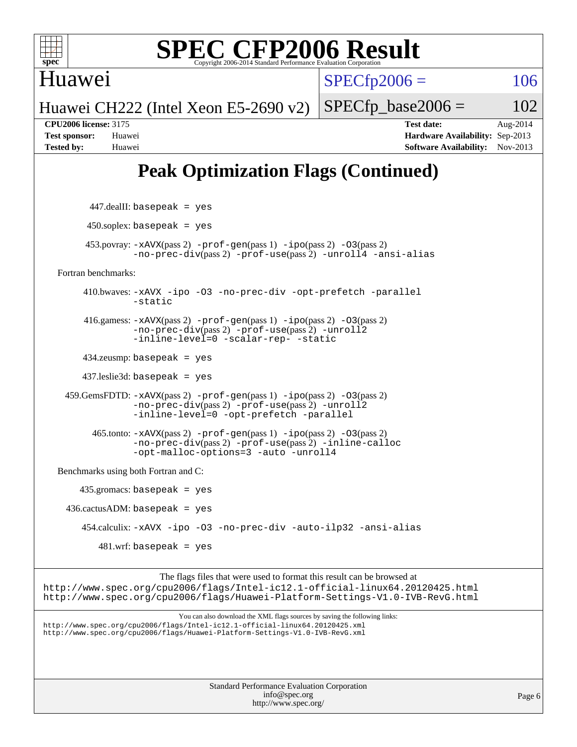

Huawei

 $SPECfp2006 = 106$  $SPECfp2006 = 106$ 

Huawei CH222 (Intel Xeon E5-2690 v2)

 $SPECfp\_base2006 = 102$ **[CPU2006 license:](http://www.spec.org/auto/cpu2006/Docs/result-fields.html#CPU2006license)** 3175 **[Test date:](http://www.spec.org/auto/cpu2006/Docs/result-fields.html#Testdate)** Aug-2014 **[Test sponsor:](http://www.spec.org/auto/cpu2006/Docs/result-fields.html#Testsponsor)** Huawei **[Hardware Availability:](http://www.spec.org/auto/cpu2006/Docs/result-fields.html#HardwareAvailability)** Sep-2013 **[Tested by:](http://www.spec.org/auto/cpu2006/Docs/result-fields.html#Testedby)** Huawei **[Software Availability:](http://www.spec.org/auto/cpu2006/Docs/result-fields.html#SoftwareAvailability)** Nov-2013

## **[Peak Optimization Flags \(Continued\)](http://www.spec.org/auto/cpu2006/Docs/result-fields.html#PeakOptimizationFlags)**

| <b>Standard Performance Evaluation Corporation</b><br>info@spec.org<br>http://www.spec.org/                                                                                                                                                | Page 6 |
|--------------------------------------------------------------------------------------------------------------------------------------------------------------------------------------------------------------------------------------------|--------|
| You can also download the XML flags sources by saving the following links:<br>http://www.spec.org/cpu2006/flags/Intel-ic12.1-official-linux64.20120425.xml<br>http://www.spec.org/cpu2006/flags/Huawei-Platform-Settings-V1.0-IVB-RevG.xml |        |
| The flags files that were used to format this result can be browsed at<br>http://www.spec.org/cpu2006/flags/Intel-ic12.1-official-linux64.20120425.html<br>http://www.spec.org/cpu2006/flags/Huawei-Platform-Settings-V1.0-IVB-RevG.html   |        |
| $481.wrf$ : basepeak = yes                                                                                                                                                                                                                 |        |
| 454.calculix: -xAVX -ipo -03 -no-prec-div -auto-ilp32 -ansi-alias                                                                                                                                                                          |        |
| $436.cactusADM: basepeak = yes$                                                                                                                                                                                                            |        |
| $435$ .gromacs: basepeak = yes                                                                                                                                                                                                             |        |
| Benchmarks using both Fortran and C:                                                                                                                                                                                                       |        |
| $465$ .tonto: $-xAVX(pass 2)$ -prof-gen(pass 1) -ipo(pass 2) -03(pass 2)<br>-no-prec-div(pass 2) -prof-use(pass 2) -inline-calloc<br>-opt-malloc-options=3 -auto -unroll4                                                                  |        |
| $459.GemsFDTD: -xAVX(pass 2) -prof-gen(pass 1) -ipo(pass 2) -O3(pass 2)$<br>-no-prec-div(pass 2) -prof-use(pass 2) -unroll2<br>-inline-level=0 -opt-prefetch -parallel                                                                     |        |
| $437$ .leslie3d: basepeak = yes                                                                                                                                                                                                            |        |
| $434$ .zeusmp: basepeak = yes                                                                                                                                                                                                              |        |
| 416.gamess: $-x$ AVX(pass 2) $-prof-gen(pass 1) -ipo(pass 2) -03(pass 2)$<br>$-no\text{-prec-div}(pass 2)$ -prof-use(pass 2) -unroll2<br>-inline-level=0 -scalar-rep- -static                                                              |        |
| 410.bwaves: -xAVX -ipo -03 -no-prec-div -opt-prefetch -parallel<br>-static                                                                                                                                                                 |        |
| Fortran benchmarks:                                                                                                                                                                                                                        |        |
| $453.$ povray: $-xAVX(pass 2)$ -prof-gen(pass 1) -ipo(pass 2) -03(pass 2)<br>$-no\text{-prec-div}(pass 2)$ -prof-use(pass 2) -unroll4 -ansi-alias                                                                                          |        |
| $450$ .soplex: basepeak = yes                                                                                                                                                                                                              |        |
| $447$ .dealII: basepeak = yes                                                                                                                                                                                                              |        |
|                                                                                                                                                                                                                                            |        |